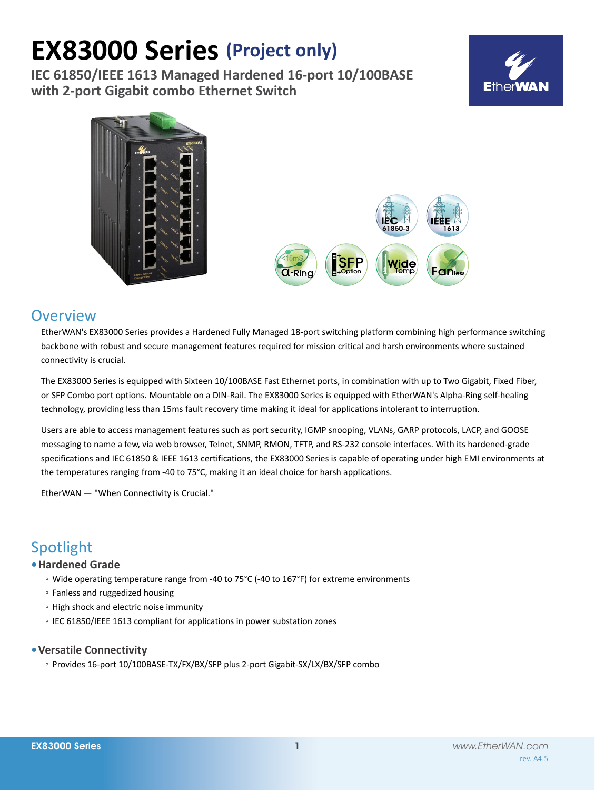# **EX83000 Series (Project only)**

**IEC 61850/IEEE 1613 Managed Hardened 16-port 10/100BASE with 2-port Gigabit combo Ethernet Switch**







### **Overview**

EtherWAN's EX83000 Series provides a Hardened Fully Managed 18-port switching platform combining high performance switching backbone with robust and secure management features required for mission critical and harsh environments where sustained connectivity is crucial.

The EX83000 Series is equipped with Sixteen 10/100BASE Fast Ethernet ports, in combination with up to Two Gigabit, Fixed Fiber, or SFP Combo port options. Mountable on a DIN-Rail. The EX83000 Series is equipped with EtherWAN's Alpha-Ring self-healing technology, providing less than 15ms fault recovery time making it ideal for applications intolerant to interruption.

Users are able to access management features such as port security, IGMP snooping, VLANs, GARP protocols, LACP, and GOOSE messaging to name a few, via web browser, Telnet, SNMP, RMON, TFTP, and RS-232 console interfaces. With its hardened-grade specifications and IEC 61850 & IEEE 1613 certifications, the EX83000 Series is capable of operating under high EMI environments at the temperatures ranging from -40 to 75°C, making it an ideal choice for harsh applications.

EtherWAN — "When Connectivity is Crucial."

# Spotlight

### **• Hardened Grade**

- Wide operating temperature range from -40 to 75°C (-40 to 167°F) for extreme environments
- Fanless and ruggedized housing
- High shock and electric noise immunity
- IEC 61850/IEEE 1613 compliant for applications in power substation zones

#### **• Versatile Connectivity**

◦ Provides 16-port 10/100BASE-TX/FX/BX/SFP plus 2-port Gigabit-SX/LX/BX/SFP combo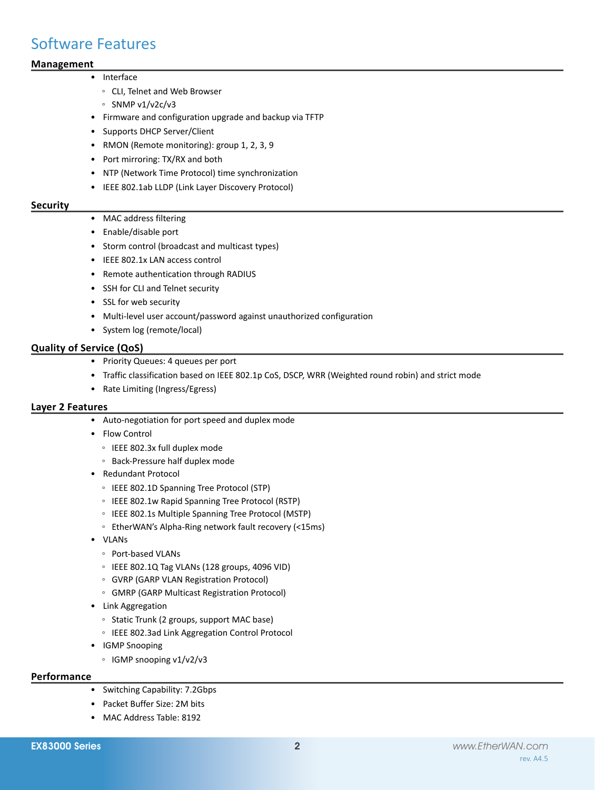## Software Features

#### **Management**

#### • Interface

- CLI, Telnet and Web Browser
- SNMP v1/v2c/v3
- • Firmware and configuration upgrade and backup via TFTP
- • Supports DHCP Server/Client
- RMON (Remote monitoring): group 1, 2, 3, 9
- Port mirroring: TX/RX and both
- • NTP (Network Time Protocol) time synchronization
- • IEEE 802.1ab LLDP (Link Layer Discovery Protocol)

#### **Security**

- MAC address filtering
- • Enable/disable port
- • Storm control (broadcast and multicast types)
- • IEEE 802.1x LAN access control
- • Remote authentication through RADIUS
- • SSH for CLI and Telnet security
- • SSL for web security
- Multi-level user account/password against unauthorized configuration
- • System log (remote/local)

#### **Quality of Service (QoS)**

- • Priority Queues: 4 queues per port
- • Traffic classification based on IEEE 802.1p CoS, DSCP, WRR (Weighted round robin) and strict mode
- • Rate Limiting (Ingress/Egress)

#### **Layer 2 Features**

- • Auto-negotiation for port speed and duplex mode
- • Flow Control
	- IEEE 802.3x full duplex mode
	- Back-Pressure half duplex mode
- • Redundant Protocol
	- IEEE 802.1D Spanning Tree Protocol (STP)
	- IEEE 802.1w Rapid Spanning Tree Protocol (RSTP)
	- IEEE 802.1s Multiple Spanning Tree Protocol (MSTP)
	- EtherWAN's Alpha-Ring network fault recovery (<15ms)
- • VLANs
	- Port-based VLANs
	- IEEE 802.1Q Tag VLANs (128 groups, 4096 VID)
	- GVRP (GARP VLAN Registration Protocol)
	- GMRP (GARP Multicast Registration Protocol)
- • Link Aggregation
	- Static Trunk (2 groups, support MAC base)
	- IEEE 802.3ad Link Aggregation Control Protocol
- • IGMP Snooping
	- IGMP snooping v1/v2/v3

#### **Performance**

- Switching Capability: 7.2Gbps
- • Packet Buffer Size: 2M bits
- MAC Address Table: 8192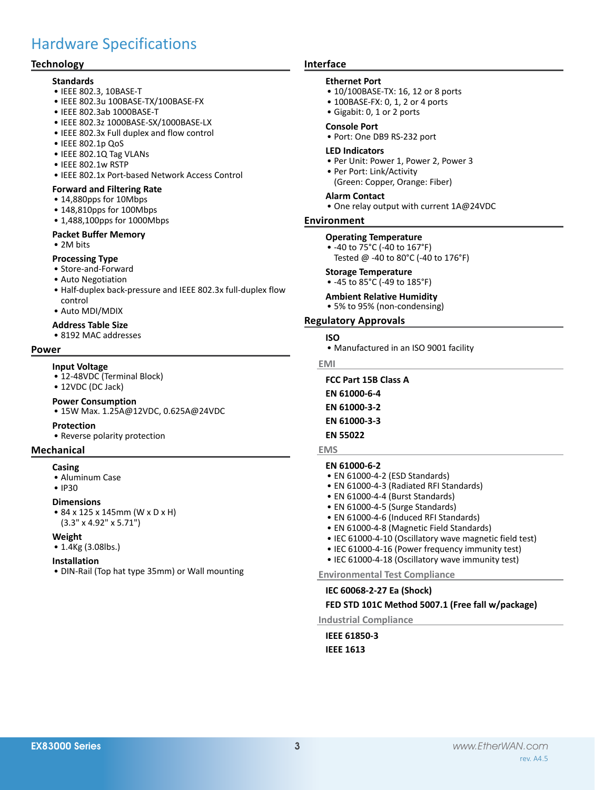# Hardware Specifications

#### **Technology**

#### **Standards**

- • IEEE 802.3, 10BASE-T
- • IEEE 802.3u 100BASE-TX/100BASE-FX
- • IEEE 802.3ab 1000BASE-T
- • IEEE 802.3z 1000BASE-SX/1000BASE-LX
- IEEE 802.3x Full duplex and flow control
- • IEEE 802.1p QoS
- • IEEE 802.1Q Tag VLANs
- • IEEE 802.1w RSTP
- IEEE 802.1x Port-based Network Access Control

#### **Forward and Filtering Rate**

- • 14,880pps for 10Mbps
- 148.810pps for 100Mbps
- 1,488,100pps for 1000Mbps

#### **Packet Buffer Memory**

• 2M bits

#### **Processing Type**

- • Store-and-Forward
- • Auto Negotiation
- Half-duplex back-pressure and IEEE 802.3x full-duplex flow control
- • Auto MDI/MDIX

#### **Address Table Size**

• 8192 MAC addresses

#### **Power**

#### **Input Voltage**

- 12-48VDC (Terminal Block)
- 12VDC (DC Jack)

#### **Power Consumption**

• 15W Max. 1.25A@12VDC, 0.625A@24VDC

#### **Protection**

• Reverse polarity protection

#### **Mechanical**

#### **Casing**

- • Aluminum Case
- IP30

#### **Dimensions**

• 84 x 125 x 145mm (W x D x H) (3.3" x 4.92" x 5.71")

#### **Weight**

• 1.4Kg (3.08lbs.)

#### **Installation**

• DIN-Rail (Top hat type 35mm) or Wall mounting

#### **Interface**

#### **Ethernet Port**

- 10/100BASE-TX: 16, 12 or 8 ports
- 100BASE-FX: 0, 1, 2 or 4 ports
- • Gigabit: 0, 1 or 2 ports

#### **Console Port**

• Port: One DB9 RS-232 port

#### **LED Indicators**

- Per Unit: Power 1, Power 2, Power 3
- • Per Port: Link/Activity (Green: Copper, Orange: Fiber)

#### **Alarm Contact**

• One relay output with current 1A@24VDC

#### **Environment**

#### **Operating Temperature**

• -40 to 75°C (-40 to 167°F) Tested @ -40 to 80°C (-40 to 176°F)

#### **Storage Temperature**

- -45 to 85°C (-49 to 185°F)
- **Ambient Relative Humidity**
- 5% to 95% (non-condensing)

#### **Regulatory Approvals**

#### **ISO**

• Manufactured in an ISO 9001 facility

**EMI**

#### **FCC Part 15B Class A**

- **EN 61000-6-4**
- **EN 61000-3-2**

#### **EN 61000-3-3**

**EN 55022**

#### **EMS**

#### **EN 61000-6-2**

- EN 61000-4-2 (ESD Standards)
- EN 61000-4-3 (Radiated RFI Standards)
- EN 61000-4-4 (Burst Standards)
- EN 61000-4-5 (Surge Standards)
- • EN 61000-4-6 (Induced RFI Standards)
- EN 61000-4-8 (Magnetic Field Standards)
- IEC 61000-4-10 (Oscillatory wave magnetic field test)
- IEC 61000-4-16 (Power frequency immunity test)
- IEC 61000-4-18 (Oscillatory wave immunity test)

#### **Environmental Test Compliance**

#### **IEC 60068-2-27 Ea (Shock)**

#### **FED STD 101C Method 5007.1 (Free fall w/package)**

**Industrial Compliance**

**IEEE 61850-3 IEEE 1613**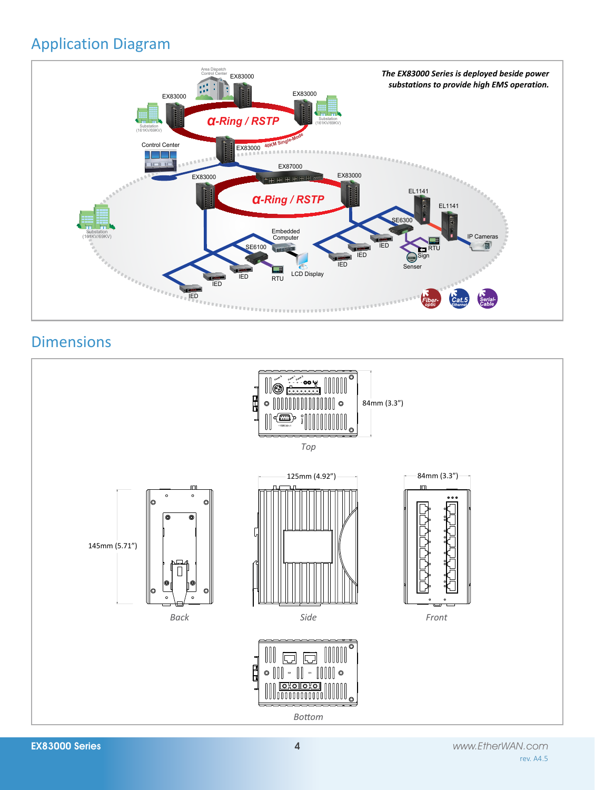# Application Diagram



# **Dimensions**